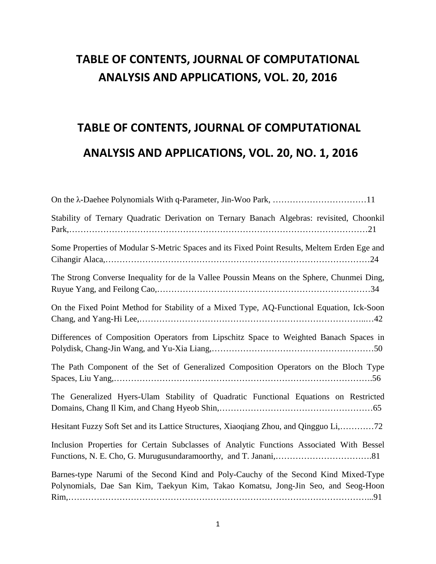## **TABLE OF CONTENTS, JOURNAL OF COMPUTATIONAL ANALYSIS AND APPLICATIONS, VOL. 20, 2016**

# **TABLE OF CONTENTS, JOURNAL OF COMPUTATIONAL ANALYSIS AND APPLICATIONS, VOL. 20, NO. 1, 2016**

| Stability of Ternary Quadratic Derivation on Ternary Banach Algebras: revisited, Choonkil                                                                                |
|--------------------------------------------------------------------------------------------------------------------------------------------------------------------------|
| Some Properties of Modular S-Metric Spaces and its Fixed Point Results, Meltem Erden Ege and                                                                             |
| The Strong Converse Inequality for de la Vallee Poussin Means on the Sphere, Chunmei Ding,                                                                               |
| On the Fixed Point Method for Stability of a Mixed Type, AQ-Functional Equation, Ick-Soon                                                                                |
| Differences of Composition Operators from Lipschitz Space to Weighted Banach Spaces in                                                                                   |
| The Path Component of the Set of Generalized Composition Operators on the Bloch Type                                                                                     |
| The Generalized Hyers-Ulam Stability of Quadratic Functional Equations on Restricted                                                                                     |
| Hesitant Fuzzy Soft Set and its Lattice Structures, Xiaoqiang Zhou, and Qingguo Li,72                                                                                    |
| Inclusion Properties for Certain Subclasses of Analytic Functions Associated With Bessel                                                                                 |
| Barnes-type Narumi of the Second Kind and Poly-Cauchy of the Second Kind Mixed-Type<br>Polynomials, Dae San Kim, Taekyun Kim, Takao Komatsu, Jong-Jin Seo, and Seog-Hoon |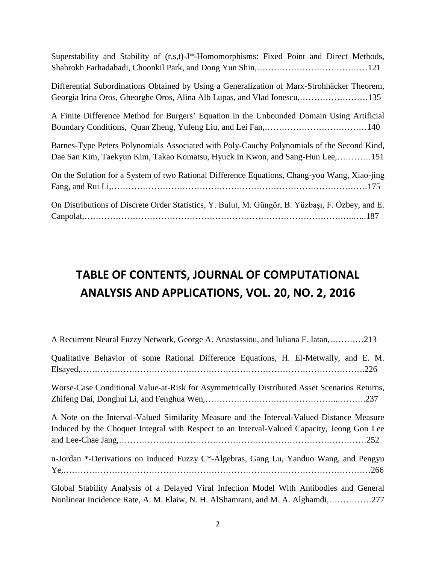| Superstability and Stability of (r,s,t)-J*-Homomorphisms: Fixed Point and Direct Methods,                                                                                  |
|----------------------------------------------------------------------------------------------------------------------------------------------------------------------------|
| Differential Subordinations Obtained by Using a Generalization of Marx-Strohhäcker Theorem,<br>Georgia Irina Oros, Gheorghe Oros, Alina Alb Lupas, and Vlad Ionescu,135    |
| A Finite Difference Method for Burgers' Equation in the Unbounded Domain Using Artificial                                                                                  |
| Barnes-Type Peters Polynomials Associated with Poly-Cauchy Polynomials of the Second Kind,<br>Dae San Kim, Taekyun Kim, Takao Komatsu, Hyuck In Kwon, and Sang-Hun Lee,151 |
| On the Solution for a System of two Rational Difference Equations, Chang-you Wang, Xiao-jing                                                                               |
| On Distributions of Discrete Order Statistics, Y. Bulut, M. Güngör, B. Yüzbaşı, F. Özbey, and E.                                                                           |

### **TABLE OF CONTENTS, JOURNAL OF COMPUTATIONAL ANALYSIS AND APPLICATIONS, VOL. 20, NO. 2, 2016**

| A Recurrent Neural Fuzzy Network, George A. Anastassiou, and Iuliana F. Iatan,213                                                                                                       |
|-----------------------------------------------------------------------------------------------------------------------------------------------------------------------------------------|
| Qualitative Behavior of some Rational Difference Equations, H. El-Metwally, and E. M.                                                                                                   |
| Worse-Case Conditional Value-at-Risk for Asymmetrically Distributed Asset Scenarios Returns,                                                                                            |
| A Note on the Interval-Valued Similarity Measure and the Interval-Valued Distance Measure<br>Induced by the Choquet Integral with Respect to an Interval-Valued Capacity, Jeong Gon Lee |
| n-Jordan *-Derivations on Induced Fuzzy C*-Algebras, Gang Lu, Yanduo Wang, and Pengyu                                                                                                   |
| Global Stability Analysis of a Delayed Viral Infection Model With Antibodies and General                                                                                                |

Nonlinear Incidence Rate, A. M. Elaiw, N. H. AlShamrani, and M. A. Alghamdi,……………277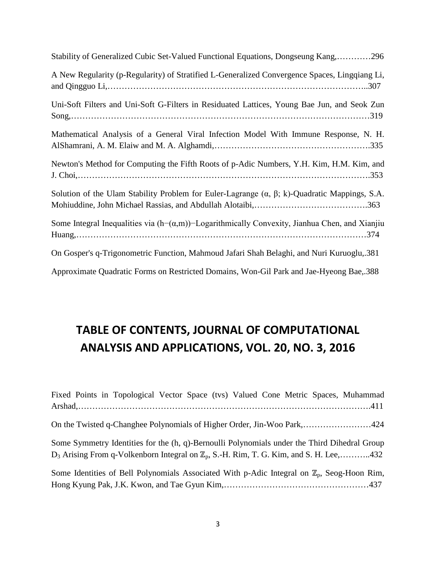| Stability of Generalized Cubic Set-Valued Functional Equations, Dongseung Kang,296                       |
|----------------------------------------------------------------------------------------------------------|
| A New Regularity (p-Regularity) of Stratified L-Generalized Convergence Spaces, Lingqiang Li,            |
| Uni-Soft Filters and Uni-Soft G-Filters in Residuated Lattices, Young Bae Jun, and Seok Zun              |
| Mathematical Analysis of a General Viral Infection Model With Immune Response, N. H.                     |
| Newton's Method for Computing the Fifth Roots of p-Adic Numbers, Y.H. Kim, H.M. Kim, and                 |
| Solution of the Ulam Stability Problem for Euler-Lagrange $(\alpha, \beta; k)$ -Quadratic Mappings, S.A. |
| Some Integral Inequalities via $(h-(\alpha,m))$ –Logarithmically Convexity, Jianhua Chen, and Xianjiu    |
| On Gosper's q-Trigonometric Function, Mahmoud Jafari Shah Belaghi, and Nuri Kuruoglu, 381                |
| Approximate Quadratic Forms on Restricted Domains, Won-Gil Park and Jae-Hyeong Bae, 388                  |

## **TABLE OF CONTENTS, JOURNAL OF COMPUTATIONAL ANALYSIS AND APPLICATIONS, VOL. 20, NO. 3, 2016**

| Fixed Points in Topological Vector Space (tvs) Valued Cone Metric Spaces, Muhammad                     |
|--------------------------------------------------------------------------------------------------------|
|                                                                                                        |
| On the Twisted q-Changhee Polynomials of Higher Order, Jin-Woo Park,424                                |
| Some Symmetry Identities for the (h, q)-Bernoulli Polynomials under the Third Dihedral Group           |
| $D_3$ Arising From q-Volkenborn Integral on $\mathbb{Z}_p$ , S.-H. Rim, T. G. Kim, and S. H. Lee,432   |
| Some Identities of Bell Polynomials Associated With p-Adic Integral on $\mathbb{Z}_p$ , Seog-Hoon Rim, |
|                                                                                                        |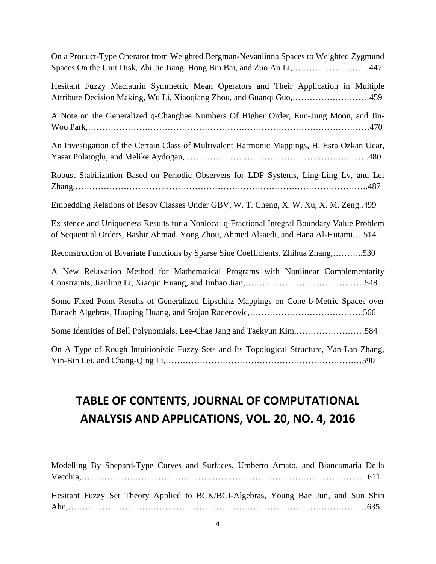On a Product-Type Operator from Weighted Bergman-Nevanlinna Spaces to Weighted Zygmund Spaces On the Unit Disk, Zhi Jie Jiang, Hong Bin Bai, and Zuo An Li,………………………447

Hesitant Fuzzy Maclaurin Symmetric Mean Operators and Their Application in Multiple Attribute Decision Making, Wu Li, Xiaoqiang Zhou, and Guanqi Guo,………………………459

A Note on the Generalized q-Changhee Numbers Of Higher Order, Eun-Jung Moon, and Jin-Woo Park,………………………………………………………………………………………470

An Investigation of the Certain Class of Multivalent Harmonic Mappings, H. Esra Ozkan Ucar, Yasar Polatoglu, and Melike Aydogan,………………………………………………………..480

Robust Stabilization Based on Periodic Observers for LDP Systems, Ling-Ling Lv, and Lei Zhang,………………………………………………………………………………………….487

Embedding Relations of Besov Classes Under GBV, W. T. Cheng, X. W. Xu, X. M. Zeng..499

Existence and Uniqueness Results for a Nonlocal q-Fractional Integral Boundary Value Problem of Sequential Orders, Bashir Ahmad, Yong Zhou, Ahmed Alsaedi, and Hana Al-Hutami,…514

Reconstruction of Bivariate Functions by Sparse Sine Coefficients, Zhihua Zhang,………..530

A New Relaxation Method for Mathematical Programs with Nonlinear Complementarity Constraints, Jianling Li, Xiaojin Huang, and Jinbao Jian,……………………………………548

Some Fixed Point Results of Generalized Lipschitz Mappings on Cone b-Metric Spaces over Banach Algebras, Huaping Huang, and Stojan Radenovic,………………………………….566

Some Identities of Bell Polynomials, Lee-Chae Jang and Taekyun Kim,……………………584

On A Type of Rough Intuitionistic Fuzzy Sets and Its Topological Structure, Yan-Lan Zhang, Yin-Bin Lei, and Chang-Qing Li,……………………………………………………………590

#### **TABLE OF CONTENTS, JOURNAL OF COMPUTATIONAL ANALYSIS AND APPLICATIONS, VOL. 20, NO. 4, 2016**

Modelling By Shepard-Type Curves and Surfaces, Umberto Amato, and Biancamaria Della Vecchia,……………………………………………………………………………………..…611 Hesitant Fuzzy Set Theory Applied to BCK/BCI-Algebras, Young Bae Jun, and Sun Shin Ahn,……………………………………………………………………………………………635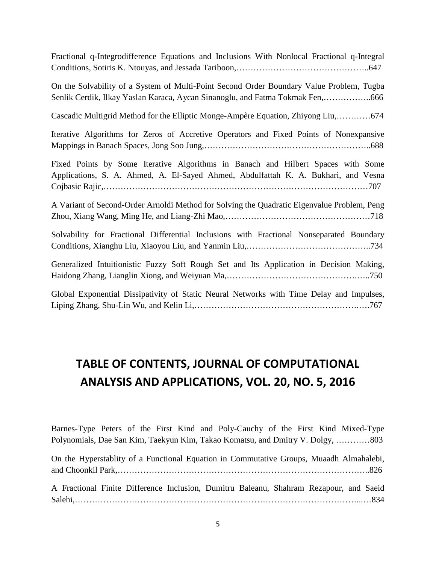Fractional q-Integrodifference Equations and Inclusions With Nonlocal Fractional q-Integral Conditions, Sotiris K. Ntouyas, and Jessada Tariboon,………………………………………..647

On the Solvability of a System of Multi-Point Second Order Boundary Value Problem, Tugba Senlik Cerdik, Ilkay Yaslan Karaca, Aycan Sinanoglu, and Fatma Tokmak Fen,……………..666

Cascadic Multigrid Method for the Elliptic Monge-Ampère Equation, Zhiyong Liu,…………674

Iterative Algorithms for Zeros of Accretive Operators and Fixed Points of Nonexpansive Mappings in Banach Spaces, Jong Soo Jung,…………………………………………………..688

Fixed Points by Some Iterative Algorithms in Banach and Hilbert Spaces with Some Applications, S. A. Ahmed, A. El-Sayed Ahmed, Abdulfattah K. A. Bukhari, and Vesna Cojbasic Rajic,…………………………………………………………………………………707

A Variant of Second-Order Arnoldi Method for Solving the Quadratic Eigenvalue Problem, Peng Zhou, Xiang Wang, Ming He, and Liang-Zhi Mao,……………………………………………718

Solvability for Fractional Differential Inclusions with Fractional Nonseparated Boundary Conditions, Xianghu Liu, Xiaoyou Liu, and Yanmin Liu,……………………………………..734

Generalized Intuitionistic Fuzzy Soft Rough Set and Its Application in Decision Making, Haidong Zhang, Lianglin Xiong, and Weiyuan Ma,……………………………………….…..750

Global Exponential Dissipativity of Static Neural Networks with Time Delay and Impulses, Liping Zhang, Shu-Lin Wu, and Kelin Li,………………………………………………….….767

#### **TABLE OF CONTENTS, JOURNAL OF COMPUTATIONAL ANALYSIS AND APPLICATIONS, VOL. 20, NO. 5, 2016**

Barnes-Type Peters of the First Kind and Poly-Cauchy of the First Kind Mixed-Type Polynomials, Dae San Kim, Taekyun Kim, Takao Komatsu, and Dmitry V. Dolgy, …………803

On the Hyperstablity of a Functional Equation in Commutative Groups, Muaadh Almahalebi, and Choonkil Park,……………………………………………………………………………..826 A Fractional Finite Difference Inclusion, Dumitru Baleanu, Shahram Rezapour, and Saeid

Salehi,………………………………………………………………………………………...…834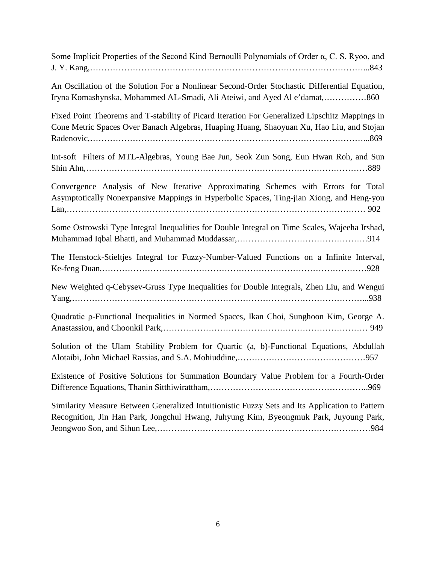| Some Implicit Properties of the Second Kind Bernoulli Polynomials of Order $\alpha$ , C. S. Ryoo, and |  |
|-------------------------------------------------------------------------------------------------------|--|
|                                                                                                       |  |

| An Oscillation of the Solution For a Nonlinear Second-Order Stochastic Differential Equation, |  |
|-----------------------------------------------------------------------------------------------|--|
| Iryna Komashynska, Mohammed AL-Smadi, Ali Ateiwi, and Ayed Al e'damat,860                     |  |

Fixed Point Theorems and T-stability of Picard Iteration For Generalized Lipschitz Mappings in Cone Metric Spaces Over Banach Algebras, Huaping Huang, Shaoyuan Xu, Hao Liu, and Stojan Radenovic,……………………………………………………………………………………...869

Int-soft Filters of MTL-Algebras, Young Bae Jun, Seok Zun Song, Eun Hwan Roh, and Sun Shin Ahn,………………………………………………………………………………………889

Convergence Analysis of New Iterative Approximating Schemes with Errors for Total Asymptotically Nonexpansive Mappings in Hyperbolic Spaces, Ting-jian Xiong, and Heng-you Lan,…………………………………………………………………………………………… 902

Some Ostrowski Type Integral Inequalities for Double Integral on Time Scales, Wajeeha Irshad, Muhammad Iqbal Bhatti, and Muhammad Muddassar,……………………………………….914

The Henstock-Stieltjes Integral for Fuzzy-Number-Valued Functions on a Infinite Interval, Ke-feng Duan,…………………………………………………………………………………928

New Weighted q-Cebysev-Gruss Type Inequalities for Double Integrals, Zhen Liu, and Wengui Yang,…………………………………………………………………………………………...938

Quadratic ρ-Functional Inequalities in Normed Spaces, Ikan Choi, Sunghoon Kim, George A. Anastassiou, and Choonkil Park,……………………………………………………………… 949

Solution of the Ulam Stability Problem for Quartic (a, b)-Functional Equations, Abdullah Alotaibi, John Michael Rassias, and S.A. Mohiuddine,………………………………………957

Existence of Positive Solutions for Summation Boundary Value Problem for a Fourth-Order Difference Equations, Thanin Sitthiwirattham,………………………………………………..969

Similarity Measure Between Generalized Intuitionistic Fuzzy Sets and Its Application to Pattern Recognition, Jin Han Park, Jongchul Hwang, Juhyung Kim, Byeongmuk Park, Juyoung Park, Jeongwoo Son, and Sihun Lee,…………………………………………………………………984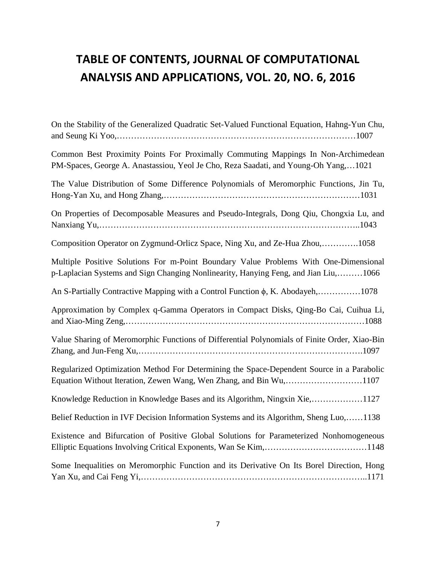# **TABLE OF CONTENTS, JOURNAL OF COMPUTATIONAL ANALYSIS AND APPLICATIONS, VOL. 20, NO. 6, 2016**

| On the Stability of the Generalized Quadratic Set-Valued Functional Equation, Hahng-Yun Chu,                                                                                |
|-----------------------------------------------------------------------------------------------------------------------------------------------------------------------------|
| Common Best Proximity Points For Proximally Commuting Mappings In Non-Archimedean<br>PM-Spaces, George A. Anastassiou, Yeol Je Cho, Reza Saadati, and Young-Oh Yang,1021    |
| The Value Distribution of Some Difference Polynomials of Meromorphic Functions, Jin Tu,                                                                                     |
| On Properties of Decomposable Measures and Pseudo-Integrals, Dong Qiu, Chongxia Lu, and                                                                                     |
| Composition Operator on Zygmund-Orlicz Space, Ning Xu, and Ze-Hua Zhou,1058                                                                                                 |
| Multiple Positive Solutions For m-Point Boundary Value Problems With One-Dimensional<br>p-Laplacian Systems and Sign Changing Nonlinearity, Hanying Feng, and Jian Liu,1066 |
| An S-Partially Contractive Mapping with a Control Function φ, K. Abodayeh,1078                                                                                              |
| Approximation by Complex q-Gamma Operators in Compact Disks, Qing-Bo Cai, Cuihua Li,                                                                                        |
| Value Sharing of Meromorphic Functions of Differential Polynomials of Finite Order, Xiao-Bin                                                                                |
| Regularized Optimization Method For Determining the Space-Dependent Source in a Parabolic<br>Equation Without Iteration, Zewen Wang, Wen Zhang, and Bin Wu,1107             |
| Knowledge Reduction in Knowledge Bases and its Algorithm, Ningxin Xie,1127                                                                                                  |
| Belief Reduction in IVF Decision Information Systems and its Algorithm, Sheng Luo,1138                                                                                      |
| Existence and Bifurcation of Positive Global Solutions for Parameterized Nonhomogeneous                                                                                     |
| Some Inequalities on Meromorphic Function and its Derivative On Its Borel Direction, Hong                                                                                   |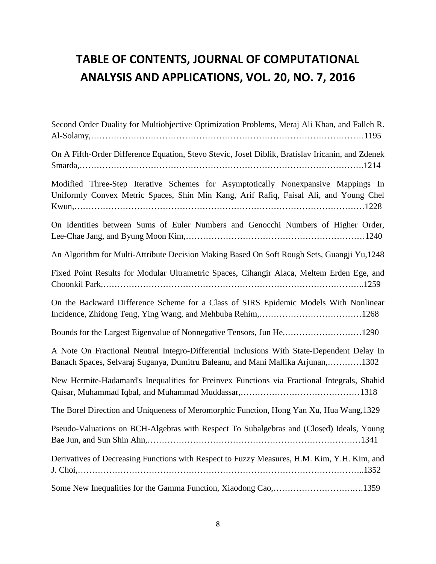# **TABLE OF CONTENTS, JOURNAL OF COMPUTATIONAL ANALYSIS AND APPLICATIONS, VOL. 20, NO. 7, 2016**

| Second Order Duality for Multiobjective Optimization Problems, Meraj Ali Khan, and Falleh R.                                                                                  |
|-------------------------------------------------------------------------------------------------------------------------------------------------------------------------------|
| On A Fifth-Order Difference Equation, Stevo Stevic, Josef Diblik, Bratislav Iricanin, and Zdenek                                                                              |
| Modified Three-Step Iterative Schemes for Asymptotically Nonexpansive Mappings In<br>Uniformly Convex Metric Spaces, Shin Min Kang, Arif Rafiq, Faisal Ali, and Young Chel    |
| On Identities between Sums of Euler Numbers and Genocchi Numbers of Higher Order,                                                                                             |
| An Algorithm for Multi-Attribute Decision Making Based On Soft Rough Sets, Guangji Yu,1248                                                                                    |
| Fixed Point Results for Modular Ultrametric Spaces, Cihangir Alaca, Meltem Erden Ege, and                                                                                     |
| On the Backward Difference Scheme for a Class of SIRS Epidemic Models With Nonlinear                                                                                          |
| Bounds for the Largest Eigenvalue of Nonnegative Tensors, Jun He,1290                                                                                                         |
| A Note On Fractional Neutral Integro-Differential Inclusions With State-Dependent Delay In<br>Banach Spaces, Selvaraj Suganya, Dumitru Baleanu, and Mani Mallika Arjunan,1302 |
| New Hermite-Hadamard's Inequalities for Preinvex Functions via Fractional Integrals, Shahid                                                                                   |
| The Borel Direction and Uniqueness of Meromorphic Function, Hong Yan Xu, Hua Wang, 1329                                                                                       |
| Pseudo-Valuations on BCH-Algebras with Respect To Subalgebras and (Closed) Ideals, Young                                                                                      |
| Derivatives of Decreasing Functions with Respect to Fuzzy Measures, H.M. Kim, Y.H. Kim, and                                                                                   |
| Some New Inequalities for the Gamma Function, Xiaodong Cao,1359                                                                                                               |